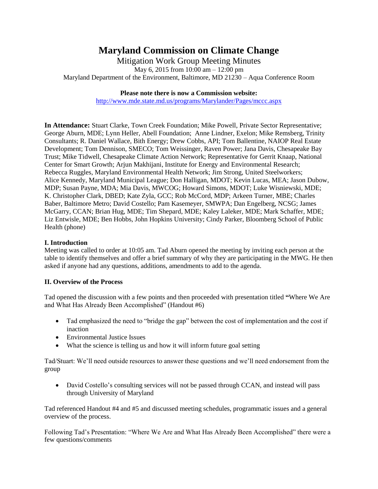# **Maryland Commission on Climate Change**

Mitigation Work Group Meeting Minutes May 6, 2015 from 10:00 am – 12:00 pm Maryland Department of the Environment, Baltimore, MD 21230 – Aqua Conference Room

#### **Please note there is now a Commission website:**

<http://www.mde.state.md.us/programs/Marylander/Pages/mccc.aspx>

**In Attendance:** Stuart Clarke, Town Creek Foundation; Mike Powell, Private Sector Representative; George Aburn, MDE; Lynn Heller, Abell Foundation; Anne Lindner, Exelon; Mike Remsberg, Trinity Consultants; R. Daniel Wallace, Bith Energy; Drew Cobbs, API; Tom Ballentine, NAIOP Real Estate Development; Tom Dennison, SMECO; Tom Weissinger, Raven Power; Jana Davis, Chesapeake Bay Trust; Mike Tidwell, Chesapeake Climate Action Network; Representative for Gerrit Knaap, National Center for Smart Growth; Arjun Makhijani, Institute for Energy and Environmental Research; Rebecca Ruggles, Maryland Environmental Health Network; Jim Strong, United Steelworkers; Alice Kennedy, Maryland Municipal League; Don Halligan, MDOT; Kevin Lucas, MEA; Jason Dubow, MDP; Susan Payne, MDA; Mia Davis, MWCOG; Howard Simons, MDOT; Luke Wisniewski, MDE; K. Christopher Clark, DBED; Kate Zyla, GCC; Rob McCord, MDP; Arkeen Turner, MBE; Charles Baber, Baltimore Metro; David Costello; Pam Kasemeyer, SMWPA; Dan Engelberg, NCSG; James McGarry, CCAN; Brian Hug, MDE; Tim Shepard, MDE; Kaley Laleker, MDE; Mark Schaffer, MDE; Liz Entwisle, MDE; Ben Hobbs, John Hopkins University; Cindy Parker, Bloomberg School of Public Health (phone)

## **I. Introduction**

Meeting was called to order at 10:05 am. Tad Aburn opened the meeting by inviting each person at the table to identify themselves and offer a brief summary of why they are participating in the MWG. He then asked if anyone had any questions, additions, amendments to add to the agenda.

### **II. Overview of the Process**

Tad opened the discussion with a few points and then proceeded with presentation titled **"**Where We Are and What Has Already Been Accomplished" (Handout #6)

- Tad emphasized the need to "bridge the gap" between the cost of implementation and the cost if inaction
- Environmental Justice Issues
- What the science is telling us and how it will inform future goal setting

Tad/Stuart: We'll need outside resources to answer these questions and we'll need endorsement from the group

• David Costello's consulting services will not be passed through CCAN, and instead will pass through University of Maryland

Tad referenced Handout #4 and #5 and discussed meeting schedules, programmatic issues and a general overview of the process.

Following Tad's Presentation: "Where We Are and What Has Already Been Accomplished" there were a few questions/comments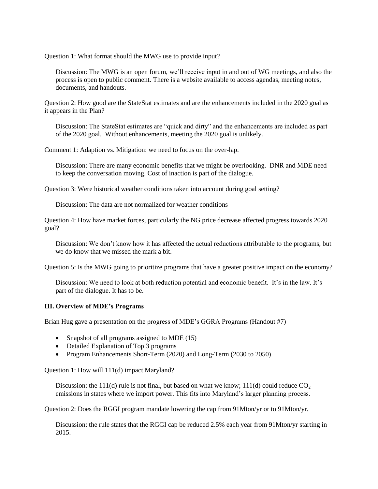Question 1: What format should the MWG use to provide input?

Discussion: The MWG is an open forum, we'll receive input in and out of WG meetings, and also the process is open to public comment. There is a website available to access agendas, meeting notes, documents, and handouts.

Question 2: How good are the StateStat estimates and are the enhancements included in the 2020 goal as it appears in the Plan?

Discussion: The StateStat estimates are "quick and dirty" and the enhancements are included as part of the 2020 goal. Without enhancements, meeting the 2020 goal is unlikely.

Comment 1: Adaption vs. Mitigation: we need to focus on the over-lap.

Discussion: There are many economic benefits that we might be overlooking. DNR and MDE need to keep the conversation moving. Cost of inaction is part of the dialogue.

Question 3: Were historical weather conditions taken into account during goal setting?

Discussion: The data are not normalized for weather conditions

Question 4: How have market forces, particularly the NG price decrease affected progress towards 2020 goal?

Discussion: We don't know how it has affected the actual reductions attributable to the programs, but we do know that we missed the mark a bit.

Question 5: Is the MWG going to prioritize programs that have a greater positive impact on the economy?

Discussion: We need to look at both reduction potential and economic benefit. It's in the law. It's part of the dialogue. It has to be.

#### **III. Overview of MDE's Programs**

Brian Hug gave a presentation on the progress of MDE's GGRA Programs (Handout #7)

- Snapshot of all programs assigned to MDE (15)
- Detailed Explanation of Top 3 programs
- Program Enhancements Short-Term (2020) and Long-Term (2030 to 2050)

Question 1: How will 111(d) impact Maryland?

Discussion: the 111(d) rule is not final, but based on what we know; 111(d) could reduce  $CO<sub>2</sub>$ emissions in states where we import power. This fits into Maryland's larger planning process.

Question 2: Does the RGGI program mandate lowering the cap from 91Mton/yr or to 91Mton/yr.

Discussion: the rule states that the RGGI cap be reduced 2.5% each year from 91Mton/yr starting in 2015.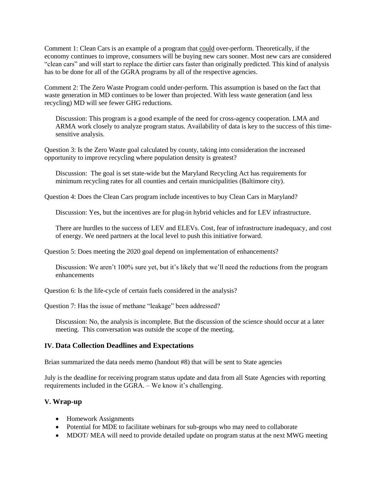Comment 1: Clean Cars is an example of a program that could over-perform. Theoretically, if the economy continues to improve, consumers will be buying new cars sooner. Most new cars are considered "clean cars" and will start to replace the dirtier cars faster than originally predicted. This kind of analysis has to be done for all of the GGRA programs by all of the respective agencies.

Comment 2: The Zero Waste Program could under-perform. This assumption is based on the fact that waste generation in MD continues to be lower than projected. With less waste generation (and less recycling) MD will see fewer GHG reductions.

Discussion: This program is a good example of the need for cross-agency cooperation. LMA and ARMA work closely to analyze program status. Availability of data is key to the success of this timesensitive analysis.

Question 3: Is the Zero Waste goal calculated by county, taking into consideration the increased opportunity to improve recycling where population density is greatest?

Discussion: The goal is set state-wide but the Maryland Recycling Act has requirements for minimum recycling rates for all counties and certain municipalities (Baltimore city).

Question 4: Does the Clean Cars program include incentives to buy Clean Cars in Maryland?

Discussion: Yes, but the incentives are for plug-in hybrid vehicles and for LEV infrastructure.

There are hurdles to the success of LEV and ELEVs. Cost, fear of infrastructure inadequacy, and cost of energy. We need partners at the local level to push this initiative forward.

Question 5: Does meeting the 2020 goal depend on implementation of enhancements?

Discussion: We aren't 100% sure yet, but it's likely that we'll need the reductions from the program enhancements

Question 6: Is the life-cycle of certain fuels considered in the analysis?

Question 7: Has the issue of methane "leakage" been addressed?

Discussion: No, the analysis is incomplete. But the discussion of the science should occur at a later meeting. This conversation was outside the scope of the meeting.

#### **IV. Data Collection Deadlines and Expectations**

Brian summarized the data needs memo (handout #8) that will be sent to State agencies

July is the deadline for receiving program status update and data from all State Agencies with reporting requirements included in the GGRA. – We know it's challenging.

#### **V. Wrap-up**

- Homework Assignments
- Potential for MDE to facilitate webinars for sub-groups who may need to collaborate
- MDOT/ MEA will need to provide detailed update on program status at the next MWG meeting